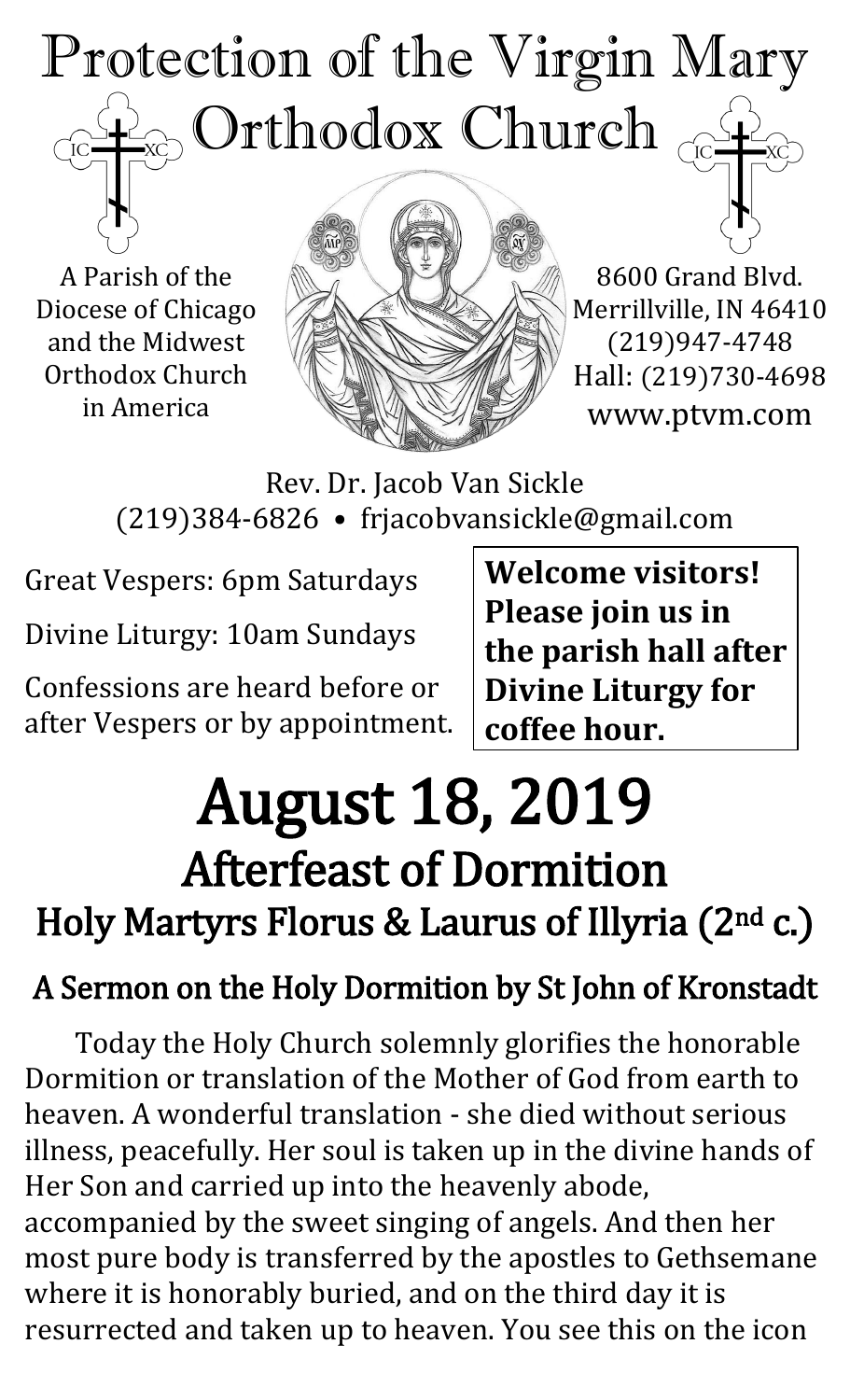## Protection of the Virgin Mary  $_{\odot}$  Orthodox Church  $_{\odot}$  $\overline{C}$

A Parish of the Diocese of Chicago and the Midwest Orthodox Church in America



8600 Grand Blvd. Merrillville, IN 46410 (219)947-4748 Hall: (219)730-4698 www.ptvm.com

Rev. Dr. Jacob Van Sickle (219)384-6826 • frjacobvansickle@gmail.com

Great Vespers: 6pm Saturdays

Divine Liturgy: 10am Sundays

Confessions are heard before or after Vespers or by appointment. **Welcome visitors! Please join us in the parish hall after Divine Liturgy for coffee hour.**

# August 18, 2019 Afterfeast of Dormition Holy Martyrs Florus & Laurus of Illyria (2nd c.)

## A Sermon on the Holy Dormition by St John of Kronstadt

Today the Holy Church solemnly glorifies the honorable Dormition or translation of the Mother of God from earth to heaven. A wonderful translation - she died without serious illness, peacefully. Her soul is taken up in the divine hands of Her Son and carried up into the heavenly abode, accompanied by the sweet singing of angels. And then her most pure body is transferred by the apostles to Gethsemane where it is honorably buried, and on the third day it is resurrected and taken up to heaven. You see this on the icon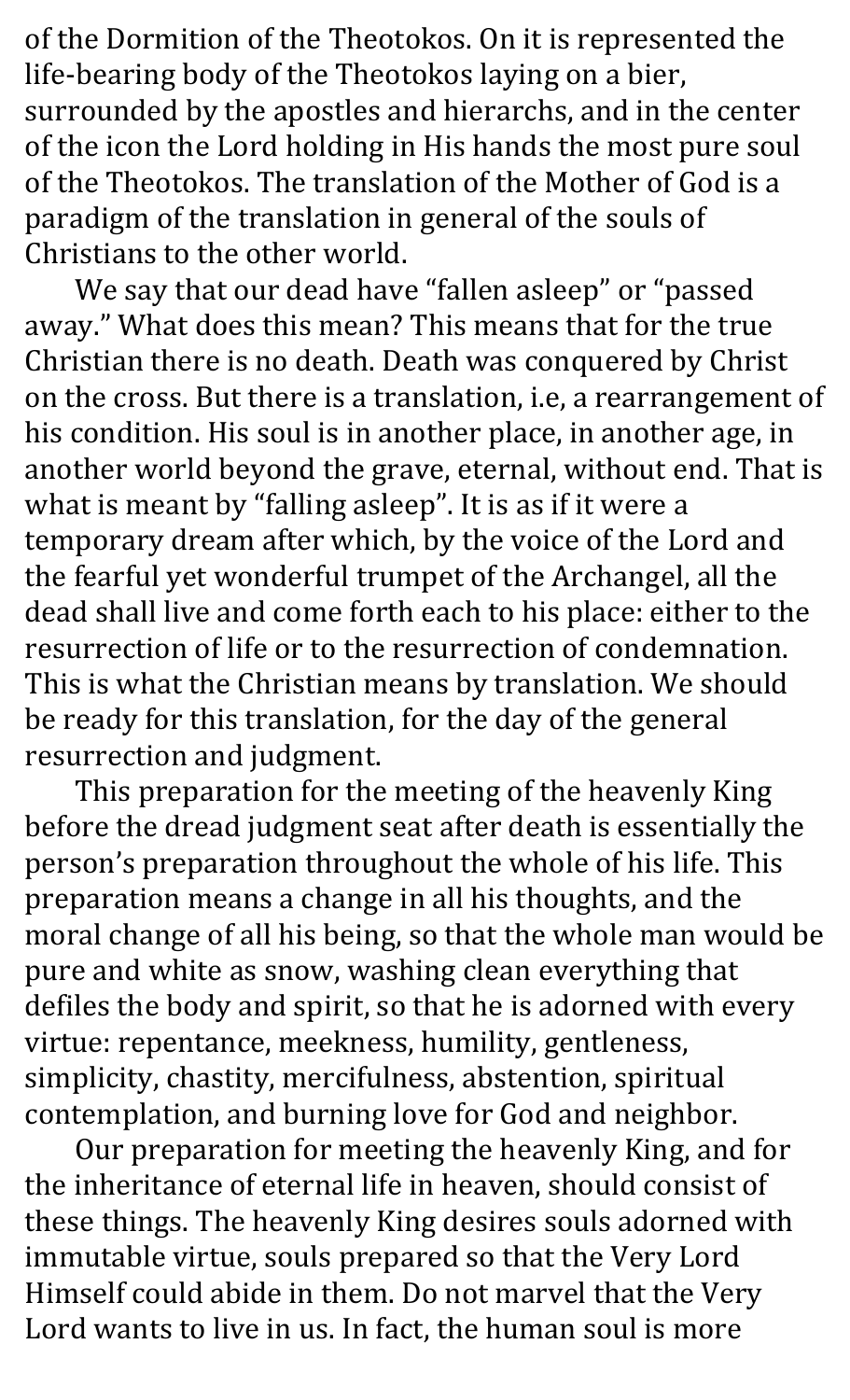of the Dormition of the Theotokos. On it is represented the life-bearing body of the Theotokos laying on a bier, surrounded by the apostles and hierarchs, and in the center of the icon the Lord holding in His hands the most pure soul of the Theotokos. The translation of the Mother of God is a paradigm of the translation in general of the souls of Christians to the other world.

We say that our dead have "fallen asleep" or "passed away." What does this mean? This means that for the true Christian there is no death. Death was conquered by Christ on the cross. But there is a translation, i.e, a rearrangement of his condition. His soul is in another place, in another age, in another world beyond the grave, eternal, without end. That is what is meant by "falling asleep". It is as if it were a temporary dream after which, by the voice of the Lord and the fearful yet wonderful trumpet of the Archangel, all the dead shall live and come forth each to his place: either to the resurrection of life or to the resurrection of condemnation. This is what the Christian means by translation. We should be ready for this translation, for the day of the general resurrection and judgment.

This preparation for the meeting of the heavenly King before the dread judgment seat after death is essentially the person's preparation throughout the whole of his life. This preparation means a change in all his thoughts, and the moral change of all his being, so that the whole man would be pure and white as snow, washing clean everything that defiles the body and spirit, so that he is adorned with every virtue: repentance, meekness, humility, gentleness, simplicity, chastity, mercifulness, abstention, spiritual contemplation, and burning love for God and neighbor.

Our preparation for meeting the heavenly King, and for the inheritance of eternal life in heaven, should consist of these things. The heavenly King desires souls adorned with immutable virtue, souls prepared so that the Very Lord Himself could abide in them. Do not marvel that the Very Lord wants to live in us. In fact, the human soul is more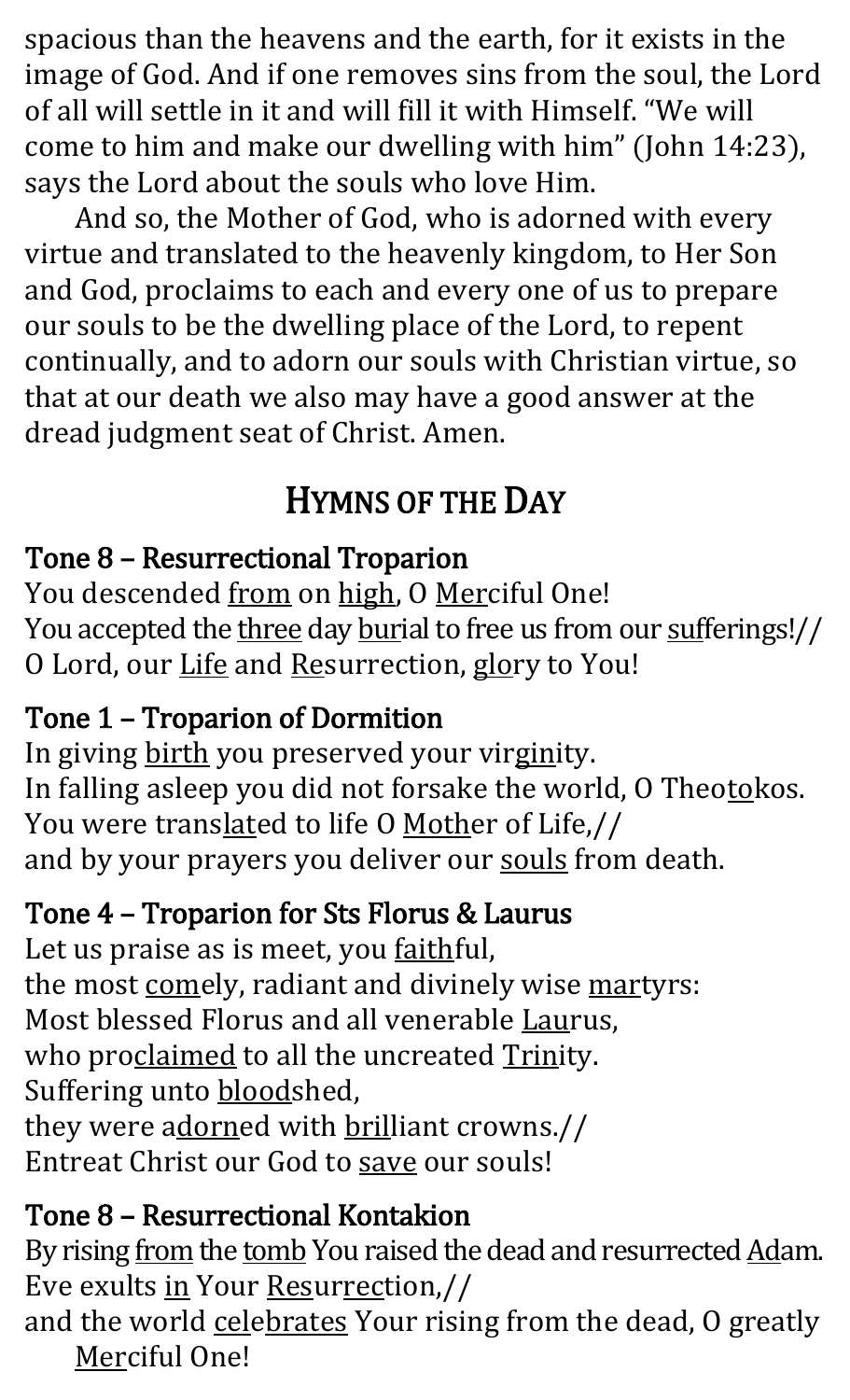spacious than the heavens and the earth, for it exists in the image of God. And if one removes sins from the soul, the Lord of all will settle in it and will fill it with Himself. "We will come to him and make our dwelling with him" (John 14:23), says the Lord about the souls who love Him.

And so, the Mother of God, who is adorned with every virtue and translated to the heavenly kingdom, to Her Son and God, proclaims to each and every one of us to prepare our souls to be the dwelling place of the Lord, to repent continually, and to adorn our souls with Christian virtue, so that at our death we also may have a good answer at the dread judgment seat of Christ. Amen.

## HYMNS OF THE DAY

#### Tone 8 – Resurrectional Troparion

You descended from on high, O Merciful One! You accepted the three day burial to free us from our sufferings!// O Lord, our Life and Resurrection, glory to You!

## Tone 1 – Troparion of Dormition

In giving birth you preserved your virginity. In falling asleep you did not forsake the world, O Theotokos. You were translated to life O Mother of Life,// and by your prayers you deliver our souls from death.

#### Tone 4 – Troparion for Sts Florus & Laurus

Let us praise as is meet, you **faithful**, the most comely, radiant and divinely wise martyrs: Most blessed Florus and all venerable Laurus, who proclaimed to all the uncreated Trinity. Suffering unto **bloodshed**, they were adorned with brilliant crowns.// Entreat Christ our God to save our souls!

## Tone 8 – Resurrectional Kontakion

By rising from the tomb You raised the dead and resurrected Adam. Eve exults in Your Resurrection,//

and the world celebrates Your rising from the dead, O greatly Merciful One!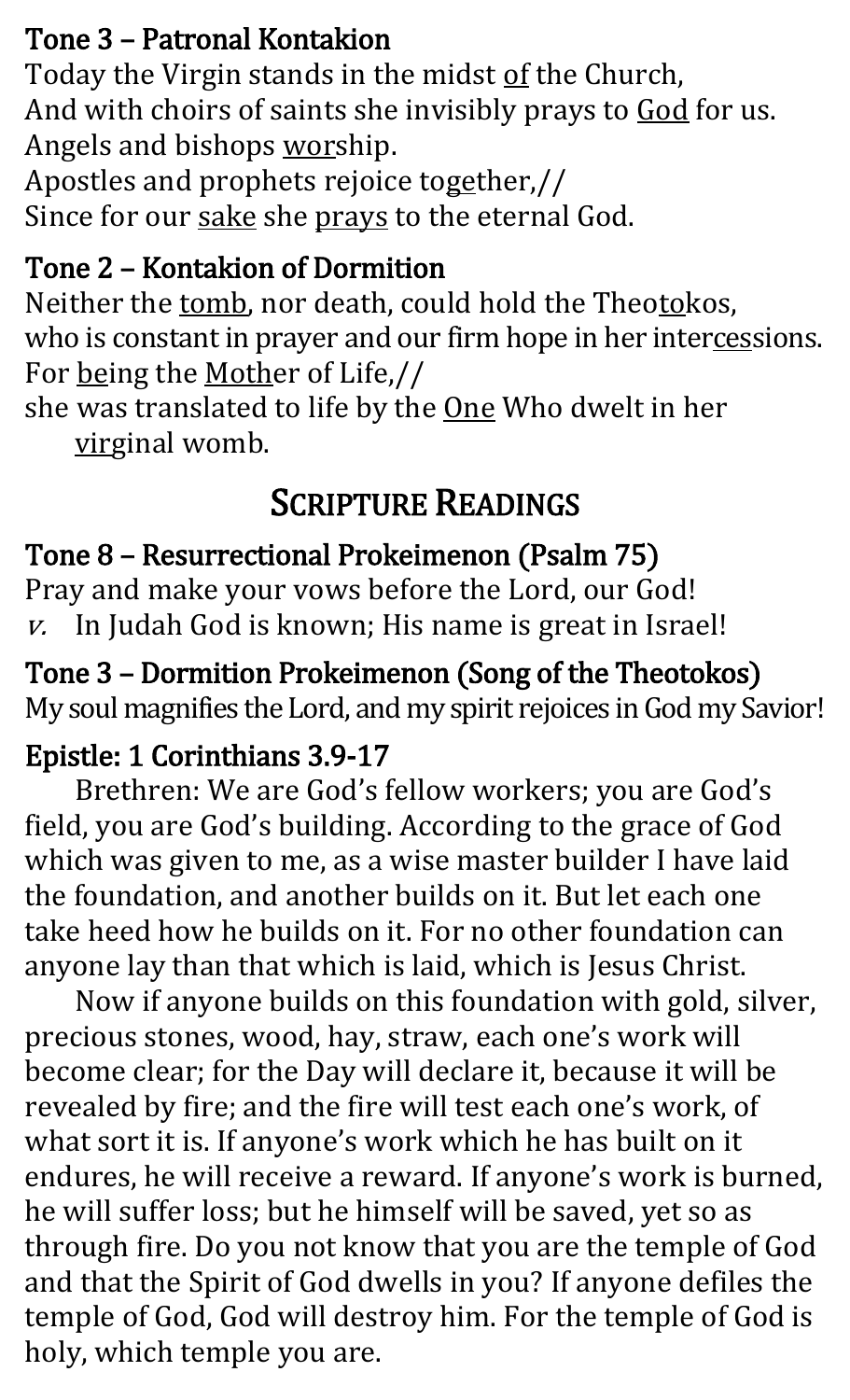#### Tone 3 – Patronal Kontakion

Today the Virgin stands in the midst of the Church, And with choirs of saints she invisibly prays to God for us. Angels and bishops worship.

Apostles and prophets rejoice together,// Since for our sake she prays to the eternal God.

#### Tone 2 – Kontakion of Dormition

Neither the tomb, nor death, could hold the Theotokos, who is constant in prayer and our firm hope in her intercessions. For being the Mother of Life,//

she was translated to life by the One Who dwelt in her virginal womb.

## SCRIPTURE READINGS

#### Tone 8 – Resurrectional Prokeimenon (Psalm 75)

Pray and make your vows before the Lord, our God! v. In Judah God is known; His name is great in Israel!

Tone 3 – Dormition Prokeimenon (Song of the Theotokos) My soul magnifies the Lord, and my spirit rejoices in God my Savior!

#### Epistle: 1 Corinthians 3.9-17

Brethren: We are God's fellow workers; you are God's field, you are God's building. According to the grace of God which was given to me, as a wise master builder I have laid the foundation, and another builds on it. But let each one take heed how he builds on it. For no other foundation can anyone lay than that which is laid, which is Jesus Christ.

Now if anyone builds on this foundation with gold, silver, precious stones, wood, hay, straw, each one's work will become clear; for the Day will declare it, because it will be revealed by fire; and the fire will test each one's work, of what sort it is. If anyone's work which he has built on it endures, he will receive a reward. If anyone's work is burned, he will suffer loss; but he himself will be saved, yet so as through fire. Do you not know that you are the temple of God and that the Spirit of God dwells in you? If anyone defiles the temple of God, God will destroy him. For the temple of God is holy, which temple you are.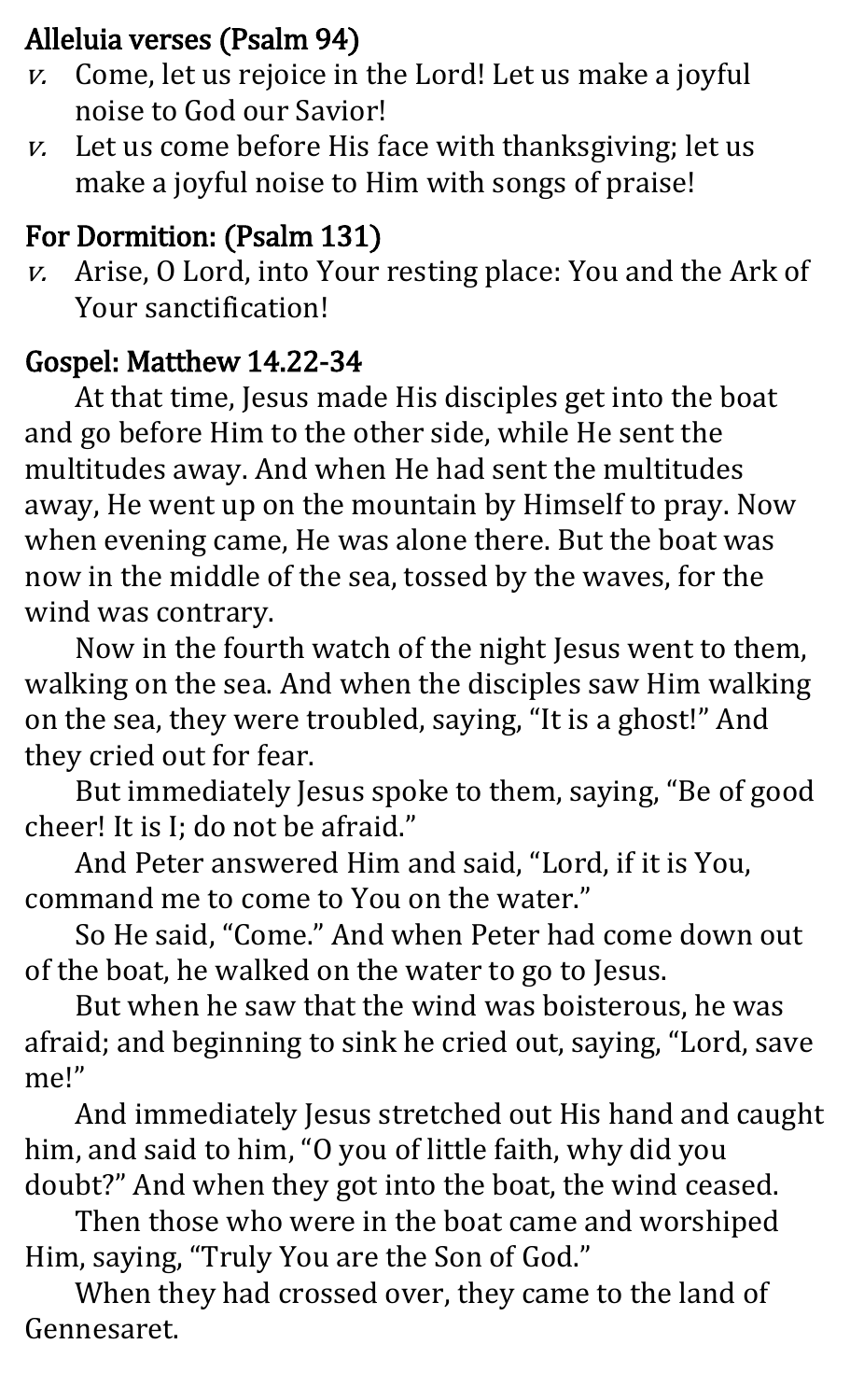#### Alleluia verses (Psalm 94)

- $v.$  Come, let us rejoice in the Lord! Let us make a joyful noise to God our Savior!
- $v.$  Let us come before His face with thanksgiving; let us make a joyful noise to Him with songs of praise!

## For Dormition: (Psalm 131)

v. Arise, O Lord, into Your resting place: You and the Ark of Your sanctification!

## Gospel: Matthew 14.22-34

At that time, Jesus made His disciples get into the boat and go before Him to the other side, while He sent the multitudes away. And when He had sent the multitudes away, He went up on the mountain by Himself to pray. Now when evening came, He was alone there. But the boat was now in the middle of the sea, tossed by the waves, for the wind was contrary.

Now in the fourth watch of the night Jesus went to them, walking on the sea. And when the disciples saw Him walking on the sea, they were troubled, saying, "It is a ghost!" And they cried out for fear.

But immediately Jesus spoke to them, saying, "Be of good cheer! It is I; do not be afraid."

And Peter answered Him and said, "Lord, if it is You, command me to come to You on the water."

So He said, "Come." And when Peter had come down out of the boat, he walked on the water to go to Jesus.

But when he saw that the wind was boisterous, he was afraid; and beginning to sink he cried out, saying, "Lord, save me!"

And immediately Jesus stretched out His hand and caught him, and said to him, "O you of little faith, why did you doubt?" And when they got into the boat, the wind ceased.

Then those who were in the boat came and worshiped Him, saying, "Truly You are the Son of God."

When they had crossed over, they came to the land of Gennesaret.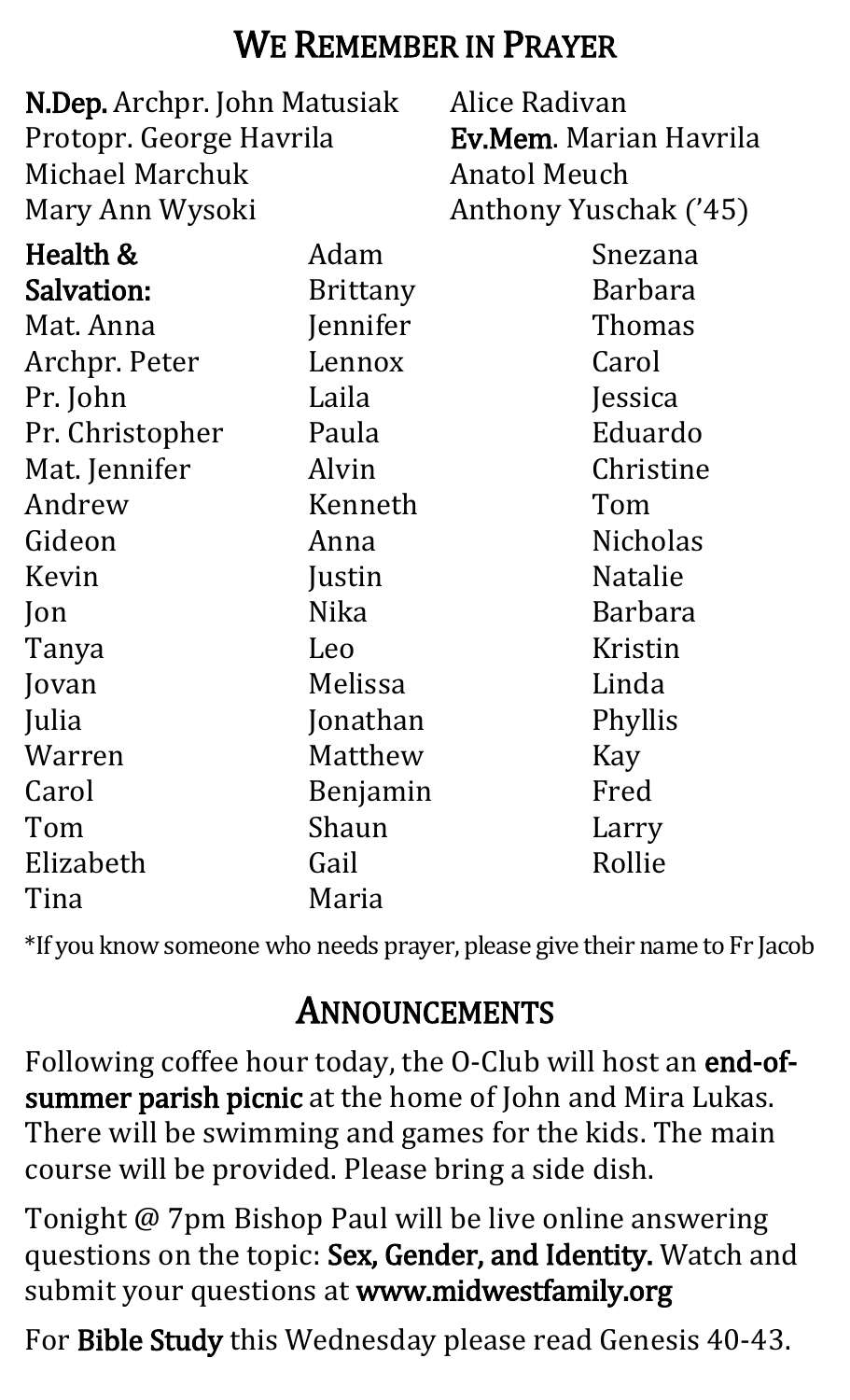## WE REMEMBER IN PRAYER

| N.Dep. Archpr. John Matusiak |                 | Alice Radivan                 |
|------------------------------|-----------------|-------------------------------|
| Protopr. George Havrila      |                 | <b>Ev.Mem.</b> Marian Havrila |
| <b>Michael Marchuk</b>       |                 | Anatol Meuch                  |
| Mary Ann Wysoki              |                 | Anthony Yuschak ('45)         |
| Health &                     | Adam            | Snezana                       |
| <b>Salvation:</b>            | <b>Brittany</b> | <b>Barbara</b>                |
| Mat. Anna                    | Jennifer        | Thomas                        |
| Archpr. Peter                | Lennox          | Carol                         |
| Pr. John                     | Laila           | Jessica                       |
| Pr. Christopher              | Paula           | Eduardo                       |
| Mat. Jennifer                | Alvin           | Christine                     |
| Andrew                       | Kenneth         | Tom                           |
| Gideon                       | Anna            | <b>Nicholas</b>               |
| Kevin                        | Justin          | <b>Natalie</b>                |
| Jon                          | Nika            | <b>Barbara</b>                |
| Tanya                        | Leo             | Kristin                       |
| Jovan                        | Melissa         | Linda                         |
| Julia                        | Jonathan        | Phyllis                       |
| Warren                       | Matthew         | Kay                           |
| Carol                        | Benjamin        | Fred                          |
| Tom                          | Shaun           | Larry                         |
| Elizabeth                    | Gail            | Rollie                        |
| Tina                         | Maria           |                               |

\*If you know someone who needs prayer, please give their name to Fr Jacob

## ANNOUNCEMENTS

Following coffee hour today, the O-Club will host an end-ofsummer parish picnic at the home of John and Mira Lukas. There will be swimming and games for the kids. The main course will be provided. Please bring a side dish.

Tonight @ 7pm Bishop Paul will be live online answering questions on the topic: Sex, Gender, and Identity. Watch and submit your questions at www.midwestfamily.org

For Bible Study this Wednesday please read Genesis 40-43.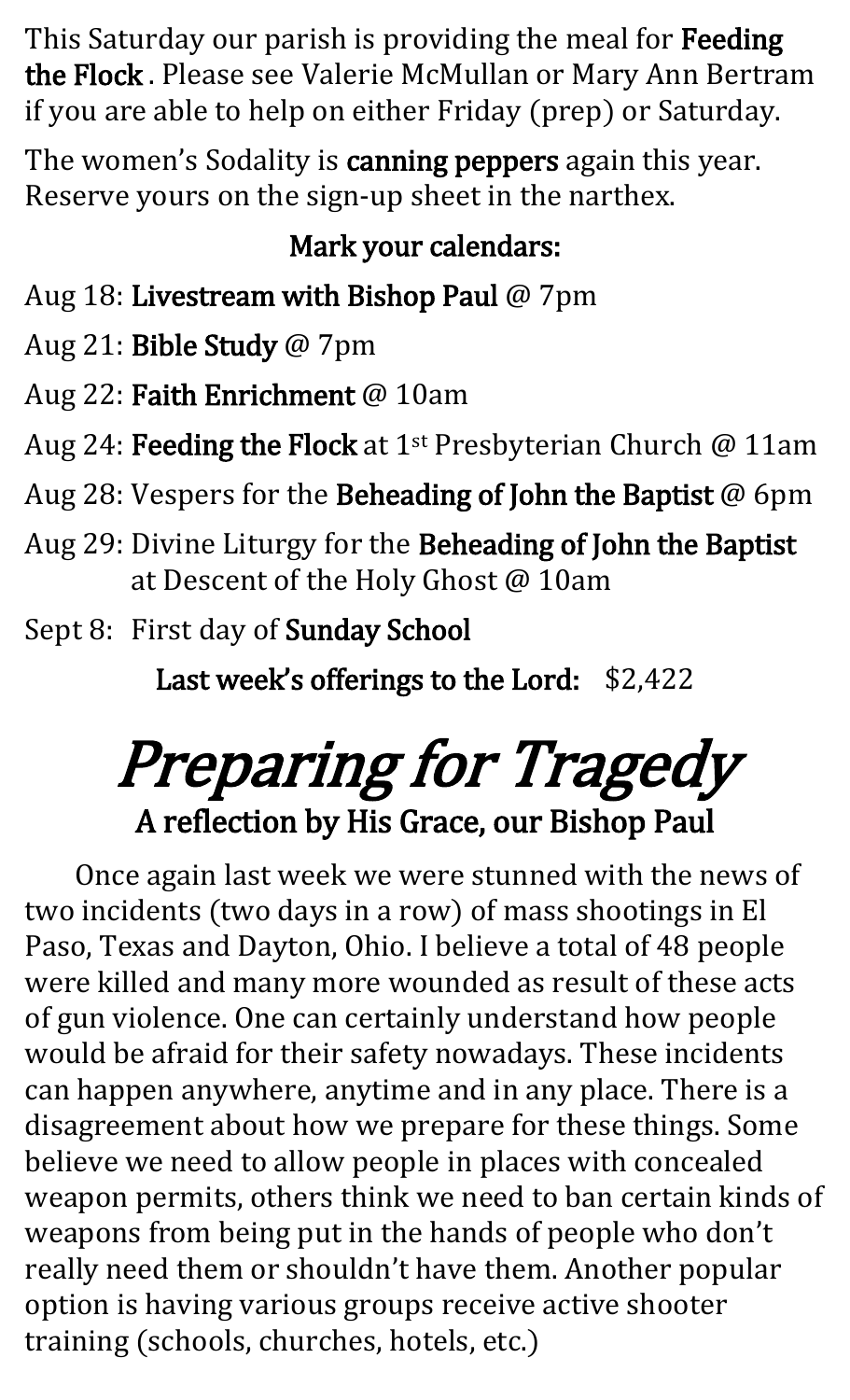This Saturday our parish is providing the meal for Feeding the Flock . Please see Valerie McMullan or Mary Ann Bertram if you are able to help on either Friday (prep) or Saturday.

The women's Sodality is canning peppers again this year. Reserve yours on the sign-up sheet in the narthex.

#### Mark your calendars:

Aug 18: Livestream with Bishop Paul @ 7pm

Aug 21: Bible Study @ 7pm

Aug 22: Faith Enrichment @ 10am

Aug 24: Feeding the Flock at 1<sup>st</sup> Presbyterian Church  $@$  11am

Aug 28: Vespers for the Beheading of John the Baptist @ 6pm

Aug 29: Divine Liturgy for the Beheading of John the Baptist at Descent of the Holy Ghost @ 10am

Sept 8: First day of Sunday School

Last week's offerings to the Lord: \$2,422

## Preparing for Tragedy A reflection by His Grace, our Bishop Paul

Once again last week we were stunned with the news of two incidents (two days in a row) of mass shootings in El Paso, Texas and Dayton, Ohio. I believe a total of 48 people were killed and many more wounded as result of these acts of gun violence. One can certainly understand how people would be afraid for their safety nowadays. These incidents can happen anywhere, anytime and in any place. There is a disagreement about how we prepare for these things. Some believe we need to allow people in places with concealed weapon permits, others think we need to ban certain kinds of weapons from being put in the hands of people who don't really need them or shouldn't have them. Another popular option is having various groups receive active shooter training (schools, churches, hotels, etc.)